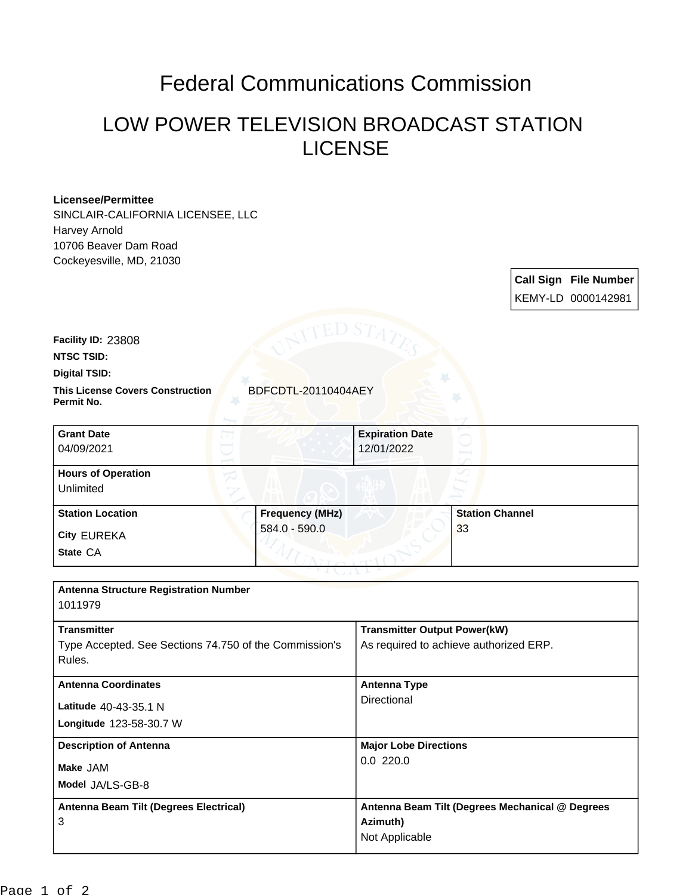## Federal Communications Commission

## LOW POWER TELEVISION BROADCAST STATION LICENSE

## **Licensee/Permittee**

SINCLAIR-CALIFORNIA LICENSEE, LLC Harvey Arnold 10706 Beaver Dam Road Cockeyesville, MD, 21030

> **Call Sign File Number** KEMY-LD 0000142981

**Facility ID:** 23808

**NTSC TSID:**

**Digital TSID:**

**This License Covers Construction BDFCDTL-20110404AEY Permit No.**

| <b>Grant Date</b><br>04/09/2021        |                        | <b>Expiration Date</b><br>12/01/2022 |                        |
|----------------------------------------|------------------------|--------------------------------------|------------------------|
| <b>Hours of Operation</b><br>Unlimited |                        |                                      |                        |
| <b>Station Location</b>                | <b>Frequency (MHz)</b> |                                      | <b>Station Channel</b> |
| <b>City EUREKA</b>                     | 584.0 - 590.0          |                                      | 33                     |
| State CA                               |                        |                                      |                        |

| <b>Antenna Structure Registration Number</b><br>1011979                                |                                                                               |
|----------------------------------------------------------------------------------------|-------------------------------------------------------------------------------|
| <b>Transmitter</b><br>Type Accepted. See Sections 74.750 of the Commission's<br>Rules. | <b>Transmitter Output Power(kW)</b><br>As required to achieve authorized ERP. |
| <b>Antenna Coordinates</b><br>Latitude 40-43-35.1 N<br><b>Longitude 123-58-30.7 W</b>  | <b>Antenna Type</b><br>Directional                                            |
| <b>Description of Antenna</b><br>Make JAM<br>Model JA/LS-GB-8                          | <b>Major Lobe Directions</b><br>0.0220.0                                      |
| Antenna Beam Tilt (Degrees Electrical)<br>3                                            | Antenna Beam Tilt (Degrees Mechanical @ Degrees<br>Azimuth)<br>Not Applicable |